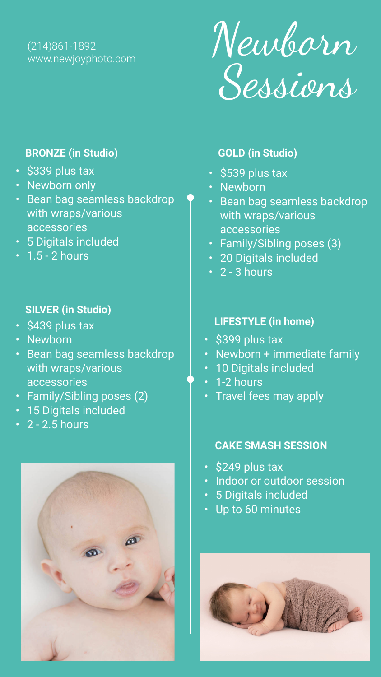Newb�n Sessions

### (214)861-1892 www.newjoyphoto.com

- \$339 plus tax
- Newborn only
- Bean bag seamless backdrop with wraps/various accessories
- 5 Digitals included
- $\cdot$  1.5 2 hours

#### **BRONZE (in Studio)**

- \$439 plus tax
- Newborn
- Bean bag seamless backdrop with wraps/various accessories
- Family/Sibling poses (2)
- 15 Digitals included
- $\overline{\cdot}$  2 2.5 hours



- \$249 plus tax
- Indoor or outdoor session
- 5 Digitals included
- Up to 60 minutes



## **SILVER (in Studio)**

- \$539 plus tax
- Newborn
- Bean bag seamless backdrop with wraps/various accessories
- Family/Sibling poses (3)
- 20 Digitals included
- 2 3 hours

## **GOLD (in Studio)**

### **CAKE SMASH SESSION**

- **LIFESTYLE (in home)**
- \$399 plus tax
- Newborn + immediate family
- 10 Digitals included
- 1-2 hours
- Travel fees may apply